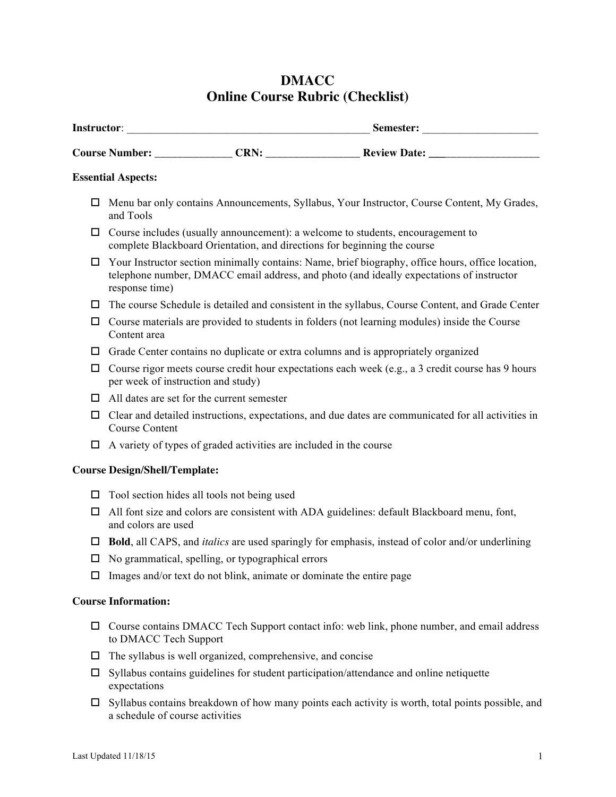# **DMACC Online Course Rubric (Checklist)**

|                                      | <b>Essential Aspects:</b>                                                                                                                                                                                       |
|--------------------------------------|-----------------------------------------------------------------------------------------------------------------------------------------------------------------------------------------------------------------|
| □                                    | Menu bar only contains Announcements, Syllabus, Your Instructor, Course Content, My Grades,<br>and Tools                                                                                                        |
| ப                                    | Course includes (usually announcement): a welcome to students, encouragement to<br>complete Blackboard Orientation, and directions for beginning the course                                                     |
| ப                                    | Your Instructor section minimally contains: Name, brief biography, office hours, office location,<br>telephone number, DMACC email address, and photo (and ideally expectations of instructor<br>response time) |
| ப<br>□                               | The course Schedule is detailed and consistent in the syllabus, Course Content, and Grade Center                                                                                                                |
|                                      | Course materials are provided to students in folders (not learning modules) inside the Course<br>Content area                                                                                                   |
| ப                                    | Grade Center contains no duplicate or extra columns and is appropriately organized                                                                                                                              |
| □                                    | Course rigor meets course credit hour expectations each week (e.g., a 3 credit course has 9 hours<br>per week of instruction and study)                                                                         |
| □                                    | All dates are set for the current semester                                                                                                                                                                      |
| □                                    | Clear and detailed instructions, expectations, and due dates are communicated for all activities in<br><b>Course Content</b>                                                                                    |
| 0                                    | A variety of types of graded activities are included in the course                                                                                                                                              |
| <b>Course Design/Shell/Template:</b> |                                                                                                                                                                                                                 |
| □                                    | Tool section hides all tools not being used                                                                                                                                                                     |
| □                                    | All font size and colors are consistent with ADA guidelines: default Blackboard menu, font,<br>and colors are used                                                                                              |
|                                      | <b>Bold</b> , all CAPS, and <i>italics</i> are used sparingly for emphasis, instead of color and/or underlining                                                                                                 |
|                                      | No grammatical, spelling, or typographical errors                                                                                                                                                               |
| □                                    | Images and/or text do not blink, animate or dominate the entire page                                                                                                                                            |
|                                      | <b>Course Information:</b>                                                                                                                                                                                      |
| □                                    | Course contains DMACC Tech Support contact info: web link, phone number, and email address<br>to DMACC Tech Support                                                                                             |
| □                                    | The syllabus is well organized, comprehensive, and concise                                                                                                                                                      |
| ப                                    | Syllabus contains guidelines for student participation/attendance and online netiquette<br>expectations                                                                                                         |

 $\square$  Syllabus contains breakdown of how many points each activity is worth, total points possible, and a schedule of course activities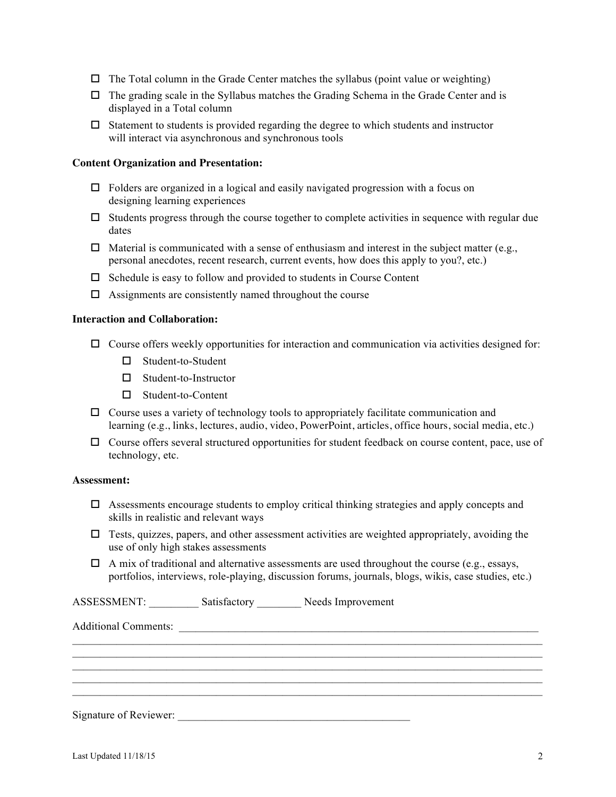- $\Box$  The Total column in the Grade Center matches the syllabus (point value or weighting)
- $\Box$  The grading scale in the Syllabus matches the Grading Schema in the Grade Center and is displayed in a Total column
- $\Box$  Statement to students is provided regarding the degree to which students and instructor will interact via asynchronous and synchronous tools

# **Content Organization and Presentation:**

- $\Box$  Folders are organized in a logical and easily navigated progression with a focus on designing learning experiences
- $\Box$  Students progress through the course together to complete activities in sequence with regular due dates
- $\Box$  Material is communicated with a sense of enthusiasm and interest in the subject matter (e.g., personal anecdotes, recent research, current events, how does this apply to you?, etc.)
- $\Box$  Schedule is easy to follow and provided to students in Course Content
- $\Box$  Assignments are consistently named throughout the course

## **Interaction and Collaboration:**

- $\Box$  Course offers weekly opportunities for interaction and communication via activities designed for:
	- $\square$  Student-to-Student
	- $\square$  Student-to-Instructor
	- $\square$  Student-to-Content
- $\Box$  Course uses a variety of technology tools to appropriately facilitate communication and learning (e.g., links, lectures, audio, video, PowerPoint, articles, office hours, social media, etc.)
- $\Box$  Course offers several structured opportunities for student feedback on course content, pace, use of technology, etc.

# **Assessment:**

- $\Box$  Assessments encourage students to employ critical thinking strategies and apply concepts and skills in realistic and relevant ways
- $\Box$  Tests, quizzes, papers, and other assessment activities are weighted appropriately, avoiding the use of only high stakes assessments
- $\Box$  A mix of traditional and alternative assessments are used throughout the course (e.g., essays, portfolios, interviews, role-playing, discussion forums, journals, blogs, wikis, case studies, etc.)

 $\mathcal{L}_\text{max} = \mathcal{L}_\text{max} = \mathcal{L}_\text{max} = \mathcal{L}_\text{max} = \mathcal{L}_\text{max} = \mathcal{L}_\text{max} = \mathcal{L}_\text{max} = \mathcal{L}_\text{max} = \mathcal{L}_\text{max} = \mathcal{L}_\text{max} = \mathcal{L}_\text{max} = \mathcal{L}_\text{max} = \mathcal{L}_\text{max} = \mathcal{L}_\text{max} = \mathcal{L}_\text{max} = \mathcal{L}_\text{max} = \mathcal{L}_\text{max} = \mathcal{L}_\text{max} = \mathcal{$  $\mathcal{L}_\text{max} = \mathcal{L}_\text{max} = \mathcal{L}_\text{max} = \mathcal{L}_\text{max} = \mathcal{L}_\text{max} = \mathcal{L}_\text{max} = \mathcal{L}_\text{max} = \mathcal{L}_\text{max} = \mathcal{L}_\text{max} = \mathcal{L}_\text{max} = \mathcal{L}_\text{max} = \mathcal{L}_\text{max} = \mathcal{L}_\text{max} = \mathcal{L}_\text{max} = \mathcal{L}_\text{max} = \mathcal{L}_\text{max} = \mathcal{L}_\text{max} = \mathcal{L}_\text{max} = \mathcal{$  $\mathcal{L}_\text{max} = \mathcal{L}_\text{max} = \mathcal{L}_\text{max} = \mathcal{L}_\text{max} = \mathcal{L}_\text{max} = \mathcal{L}_\text{max} = \mathcal{L}_\text{max} = \mathcal{L}_\text{max} = \mathcal{L}_\text{max} = \mathcal{L}_\text{max} = \mathcal{L}_\text{max} = \mathcal{L}_\text{max} = \mathcal{L}_\text{max} = \mathcal{L}_\text{max} = \mathcal{L}_\text{max} = \mathcal{L}_\text{max} = \mathcal{L}_\text{max} = \mathcal{L}_\text{max} = \mathcal{$  $\mathcal{L}_\text{max} = \mathcal{L}_\text{max} = \mathcal{L}_\text{max} = \mathcal{L}_\text{max} = \mathcal{L}_\text{max} = \mathcal{L}_\text{max} = \mathcal{L}_\text{max} = \mathcal{L}_\text{max} = \mathcal{L}_\text{max} = \mathcal{L}_\text{max} = \mathcal{L}_\text{max} = \mathcal{L}_\text{max} = \mathcal{L}_\text{max} = \mathcal{L}_\text{max} = \mathcal{L}_\text{max} = \mathcal{L}_\text{max} = \mathcal{L}_\text{max} = \mathcal{L}_\text{max} = \mathcal{$ 

ASSESSMENT: Satisfactory Needs Improvement

Additional Comments: \_\_\_\_\_\_\_\_\_\_\_\_\_\_\_\_\_\_\_\_\_\_\_\_\_\_\_\_\_\_\_\_\_\_\_\_\_\_\_\_\_\_\_\_\_\_\_\_\_\_\_\_\_\_\_\_\_\_\_\_\_\_\_\_\_